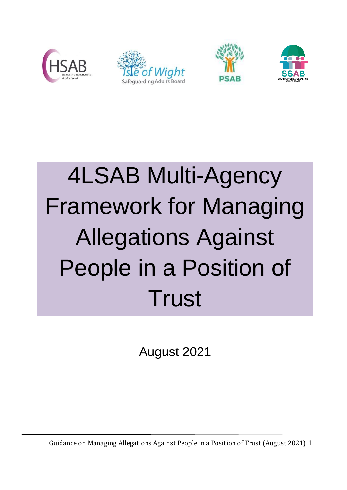







# 4LSAB Multi-Agency Framework for Managing Allegations Against People in a Position of **Trust**

August 2021

Guidance on Managing Allegations Against People in a Position of Trust (August 2021) 1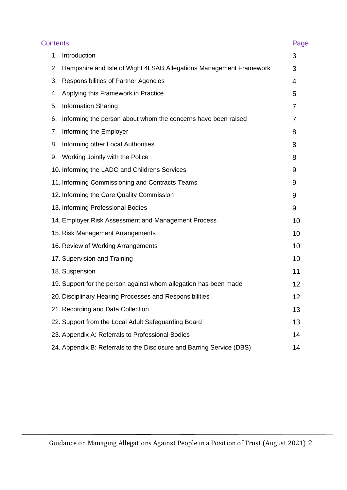| <b>Contents</b> |                                                                       | Page |
|-----------------|-----------------------------------------------------------------------|------|
| 1.              | Introduction                                                          | 3    |
| 2.              | Hampshire and Isle of Wight 4LSAB Allegations Management Framework    | 3    |
| 3.              | Responsibilities of Partner Agencies                                  | 4    |
| 4.              | Applying this Framework in Practice                                   | 5    |
| 5.              | <b>Information Sharing</b>                                            | 7    |
| 6.              | Informing the person about whom the concerns have been raised         | 7    |
| 7.              | Informing the Employer                                                | 8    |
| 8.              | Informing other Local Authorities                                     | 8    |
| 9.              | Working Jointly with the Police                                       | 8    |
|                 | 10. Informing the LADO and Childrens Services                         | 9    |
|                 | 11. Informing Commissioning and Contracts Teams                       | 9    |
|                 | 12. Informing the Care Quality Commission                             | 9    |
|                 | 13. Informing Professional Bodies                                     | 9    |
|                 | 14. Employer Risk Assessment and Management Process                   | 10   |
|                 | 15. Risk Management Arrangements                                      | 10   |
|                 | 16. Review of Working Arrangements                                    | 10   |
|                 | 17. Supervision and Training                                          | 10   |
|                 | 18. Suspension                                                        | 11   |
|                 | 19. Support for the person against whom allegation has been made      | 12   |
|                 | 20. Disciplinary Hearing Processes and Responsibilities               | 12   |
|                 | 21. Recording and Data Collection                                     | 13   |
|                 | 22. Support from the Local Adult Safeguarding Board                   | 13   |
|                 | 23. Appendix A: Referrals to Professional Bodies                      | 14   |
|                 | 24. Appendix B: Referrals to the Disclosure and Barring Service (DBS) | 14   |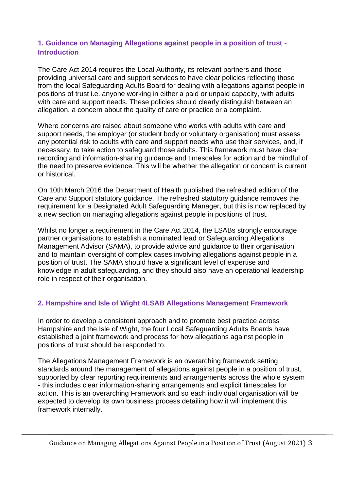# **1. Guidance on Managing Allegations against people in a position of trust - Introduction**

The Care Act 2014 requires the Local Authority, its relevant partners and those providing universal care and support services to have clear policies reflecting those from the local Safeguarding Adults Board for dealing with allegations against people in positions of trust i.e. anyone working in either a paid or unpaid capacity, with adults with care and support needs. These policies should clearly distinguish between an allegation, a concern about the quality of care or practice or a complaint.

Where concerns are raised about someone who works with adults with care and support needs, the employer (or student body or voluntary organisation) must assess any potential risk to adults with care and support needs who use their services, and, if necessary, to take action to safeguard those adults. This framework must have clear recording and information-sharing guidance and timescales for action and be mindful of the need to preserve evidence. This will be whether the allegation or concern is current or historical.

On 10th March 2016 the Department of Health published the refreshed edition of the Care and Support statutory guidance. The refreshed statutory guidance removes the requirement for a Designated Adult Safeguarding Manager, but this is now replaced by a new section on managing allegations against people in positions of trust.

Whilst no longer a requirement in the Care Act 2014, the LSABs strongly encourage partner organisations to establish a nominated lead or Safeguarding Allegations Management Advisor (SAMA), to provide advice and guidance to their organisation and to maintain oversight of complex cases involving allegations against people in a position of trust. The SAMA should have a significant level of expertise and knowledge in adult safeguarding, and they should also have an operational leadership role in respect of their organisation.

# **2. Hampshire and Isle of Wight 4LSAB Allegations Management Framework**

In order to develop a consistent approach and to promote best practice across Hampshire and the Isle of Wight, the four Local Safeguarding Adults Boards have established a joint framework and process for how allegations against people in positions of trust should be responded to.

The Allegations Management Framework is an overarching framework setting standards around the management of allegations against people in a position of trust, supported by clear reporting requirements and arrangements across the whole system - this includes clear information-sharing arrangements and explicit timescales for action. This is an overarching Framework and so each individual organisation will be expected to develop its own business process detailing how it will implement this framework internally.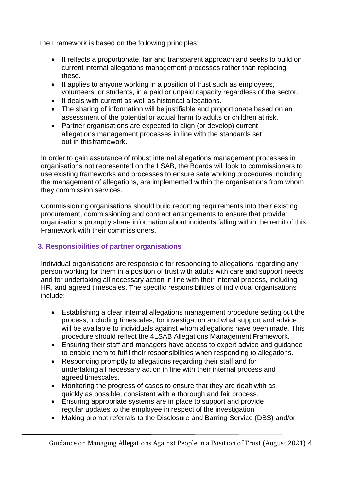The Framework is based on the following principles:

- It reflects a proportionate, fair and transparent approach and seeks to build on current internal allegations management processes rather than replacing these.
- It applies to anyone working in a position of trust such as employees, volunteers, or students, in a paid or unpaid capacity regardless of the sector.
- It deals with current as well as historical allegations.
- The sharing of information will be justifiable and proportionate based on an assessment of the potential or actual harm to adults or children at risk.
- Partner organisations are expected to align (or develop) current allegations management processes in line with the standards set out in thisframework.

In order to gain assurance of robust internal allegations management processes in organisations not represented on the LSAB, the Boards will look to commissioners to use existing frameworks and processes to ensure safe working procedures including the management of allegations, are implemented within the organisations from whom they commission services.

Commissioning organisations should build reporting requirements into their existing procurement, commissioning and contract arrangements to ensure that provider organisations promptly share information about incidents falling within the remit of this Framework with their commissioners.

## **3. Responsibilities of partner organisations**

Individual organisations are responsible for responding to allegations regarding any person working for them in a position of trust with adults with care and support needs and for undertaking all necessary action in line with their internal process, including HR, and agreed timescales. The specific responsibilities of individual organisations include:

- Establishing a clear internal allegations management procedure setting out the process, including timescales, for investigation and what support and advice will be available to individuals against whom allegations have been made. This procedure should reflect the 4LSAB Allegations Management Framework.
- Ensuring their staff and managers have access to expert advice and guidance to enable them to fulfil their responsibilities when responding to allegations.
- Responding promptly to allegations regarding their staff and for undertaking all necessary action in line with their internal process and agreed timescales.
- Monitoring the progress of cases to ensure that they are dealt with as quickly as possible, consistent with a thorough and fair process.
- Ensuring appropriate systems are in place to support and provide regular updates to the employee in respect of the investigation.
- Making prompt referrals to the Disclosure and Barring Service (DBS) and/or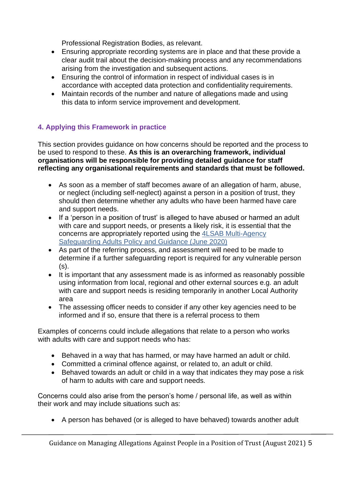Professional Registration Bodies, as relevant.

- Ensuring appropriate recording systems are in place and that these provide a clear audit trail about the decision-making process and any recommendations arising from the investigation and subsequent actions.
- Ensuring the control of information in respect of individual cases is in accordance with accepted data protection and confidentiality requirements.
- Maintain records of the number and nature of allegations made and using this data to inform service improvement and development.

# **4. Applying this Framework in practice**

This section provides guidance on how concerns should be reported and the process to be used to respond to these. **As this is an overarching framework, individual organisations will be responsible for providing detailed guidance for staff reflecting any organisational requirements and standards that must be followed.**

- As soon as a member of staff becomes aware of an allegation of harm, abuse, or neglect (including self-neglect) against a person in a position of trust, they should then determine whether any adults who have been harmed have care and support needs.
- If a 'person in a position of trust' is alleged to have abused or harmed an adult with care and support needs, or presents a likely risk, it is essential that the concerns are appropriately reported using the [4LSAB Multi-Agency](https://www.hampshiresab.org.uk/wp-content/uploads/4LSAB-Adult-Safeguarding-Policy-Process-and-Guidance-June-2020-6.pdf)  [Safeguarding Adults Policy and Guidance \(June 2020\)](https://www.hampshiresab.org.uk/wp-content/uploads/4LSAB-Adult-Safeguarding-Policy-Process-and-Guidance-June-2020-6.pdf)
- As part of the referring process, and assessment will need to be made to determine if a further safeguarding report is required for any vulnerable person (s).
- It is important that any assessment made is as informed as reasonably possible using information from local, regional and other external sources e.g. an adult with care and support needs is residing temporarily in another Local Authority area
- The assessing officer needs to consider if any other key agencies need to be informed and if so, ensure that there is a referral process to them

Examples of concerns could include allegations that relate to a person who works with adults with care and support needs who has:

- Behaved in a way that has harmed, or may have harmed an adult or child.
- Committed a criminal offence against, or related to, an adult or child.
- Behaved towards an adult or child in a way that indicates they may pose a risk of harm to adults with care and support needs.

Concerns could also arise from the person's home / personal life, as well as within their work and may include situations such as:

• A person has behaved (or is alleged to have behaved) towards another adult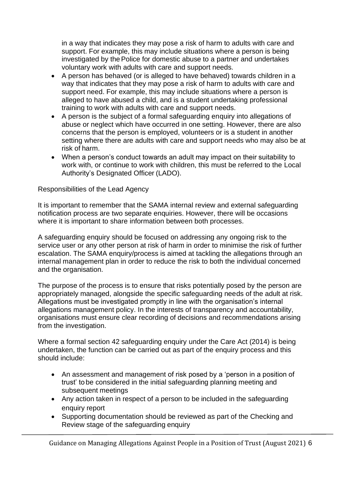in a way that indicates they may pose a risk of harm to adults with care and support. For example, this may include situations where a person is being investigated by the Police for domestic abuse to a partner and undertakes voluntary work with adults with care and support needs.

- A person has behaved (or is alleged to have behaved) towards children in a way that indicates that they may pose a risk of harm to adults with care and support need. For example, this may include situations where a person is alleged to have abused a child, and is a student undertaking professional training to work with adults with care and support needs.
- A person is the subject of a formal safeguarding enquiry into allegations of abuse or neglect which have occurred in one setting. However, there are also concerns that the person is employed, volunteers or is a student in another setting where there are adults with care and support needs who may also be at risk of harm.
- When a person's conduct towards an adult may impact on their suitability to work with, or continue to work with children, this must be referred to the Local Authority's Designated Officer (LADO).

#### Responsibilities of the Lead Agency

It is important to remember that the SAMA internal review and external safeguarding notification process are two separate enquiries. However, there will be occasions where it is important to share information between both processes.

A safeguarding enquiry should be focused on addressing any ongoing risk to the service user or any other person at risk of harm in order to minimise the risk of further escalation. The SAMA enquiry/process is aimed at tackling the allegations through an internal management plan in order to reduce the risk to both the individual concerned and the organisation.

The purpose of the process is to ensure that risks potentially posed by the person are appropriately managed, alongside the specific safeguarding needs of the adult at risk. Allegations must be investigated promptly in line with the organisation's internal allegations management policy. In the interests of transparency and accountability, organisations must ensure clear recording of decisions and recommendations arising from the investigation.

Where a formal section 42 safeguarding enquiry under the Care Act (2014) is being undertaken, the function can be carried out as part of the enquiry process and this should include:

- An assessment and management of risk posed by a 'person in a position of trust' to be considered in the initial safeguarding planning meeting and subsequent meetings
- Any action taken in respect of a person to be included in the safeguarding enquiry report
- Supporting documentation should be reviewed as part of the Checking and Review stage of the safeguarding enquiry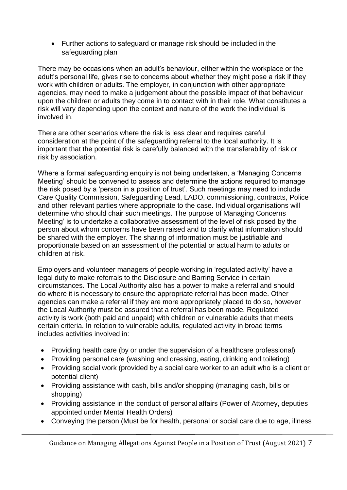• Further actions to safeguard or manage risk should be included in the safeguarding plan

There may be occasions when an adult's behaviour, either within the workplace or the adult's personal life, gives rise to concerns about whether they might pose a risk if they work with children or adults. The employer, in conjunction with other appropriate agencies, may need to make a judgement about the possible impact of that behaviour upon the children or adults they come in to contact with in their role. What constitutes a risk will vary depending upon the context and nature of the work the individual is involved in.

There are other scenarios where the risk is less clear and requires careful consideration at the point of the safeguarding referral to the local authority. It is important that the potential risk is carefully balanced with the transferability of risk or risk by association.

Where a formal safeguarding enquiry is not being undertaken, a 'Managing Concerns Meeting' should be convened to assess and determine the actions required to manage the risk posed by a 'person in a position of trust'. Such meetings may need to include Care Quality Commission, Safeguarding Lead, LADO, commissioning, contracts, Police and other relevant parties where appropriate to the case. Individual organisations will determine who should chair such meetings. The purpose of Managing Concerns Meeting' is to undertake a collaborative assessment of the level of risk posed by the person about whom concerns have been raised and to clarify what information should be shared with the employer. The sharing of information must be justifiable and proportionate based on an assessment of the potential or actual harm to adults or children at risk.

Employers and volunteer managers of people working in 'regulated activity' have a legal duty to make referrals to the Disclosure and Barring Service in certain circumstances. The Local Authority also has a power to make a referral and should do where it is necessary to ensure the appropriate referral has been made. Other agencies can make a referral if they are more appropriately placed to do so, however the Local Authority must be assured that a referral has been made. Regulated activity is work (both paid and unpaid) with children or vulnerable adults that meets certain criteria. In relation to vulnerable adults, regulated activity in broad terms includes activities involved in:

- Providing health care (by or under the supervision of a healthcare professional)
- Providing personal care (washing and dressing, eating, drinking and toileting)
- Providing social work (provided by a social care worker to an adult who is a client or potential client)
- Providing assistance with cash, bills and/or shopping (managing cash, bills or shopping)
- Providing assistance in the conduct of personal affairs (Power of Attorney, deputies appointed under Mental Health Orders)
- Conveying the person (Must be for health, personal or social care due to age, illness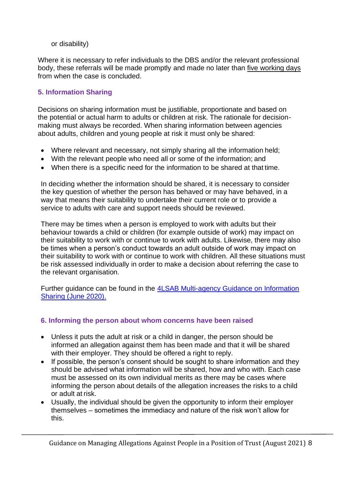or disability)

Where it is necessary to refer individuals to the DBS and/or the relevant professional body, these referrals will be made promptly and made no later than five working days from when the case is concluded.

# **5. Information Sharing**

Decisions on sharing information must be justifiable, proportionate and based on the potential or actual harm to adults or children at risk. The rationale for decisionmaking must always be recorded. When sharing information between agencies about adults, children and young people at risk it must only be shared:

- Where relevant and necessary, not simply sharing all the information held;
- With the relevant people who need all or some of the information; and
- When there is a specific need for the information to be shared at that time.

In deciding whether the information should be shared, it is necessary to consider the key question of whether the person has behaved or may have behaved, in a way that means their suitability to undertake their current role or to provide a service to adults with care and support needs should be reviewed.

There may be times when a person is employed to work with adults but their behaviour towards a child or children (for example outside of work) may impact on their suitability to work with or continue to work with adults. Likewise, there may also be times when a person's conduct towards an adult outside of work may impact on their suitability to work with or continue to work with children. All these situations must be risk assessed individually in order to make a decision about referring the case to the relevant organisation.

Further guidance can be found in the [4LSAB Multi-agency Guidance on Information](https://www.hampshiresab.org.uk/wp-content/uploads/4LSAB-MA-Information-Sharing-Guidance.pdf)  [Sharing \(June 2020\).](https://www.hampshiresab.org.uk/wp-content/uploads/4LSAB-MA-Information-Sharing-Guidance.pdf)

# **6. Informing the person about whom concerns have been raised**

- Unless it puts the adult at risk or a child in danger, the person should be informed an allegation against them has been made and that it will be shared with their employer. They should be offered a right to reply.
- If possible, the person's consent should be sought to share information and they should be advised what information will be shared, how and who with. Each case must be assessed on its own individual merits as there may be cases where informing the person about details of the allegation increases the risks to a child or adult at risk.
- Usually, the individual should be given the opportunity to inform their employer themselves – sometimes the immediacy and nature of the risk won't allow for this.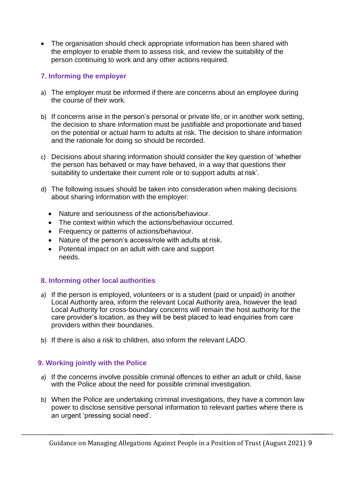• The organisation should check appropriate information has been shared with the employer to enable them to assess risk, and review the suitability of the person continuing to work and any other actions required.

## **7. Informing the employer**

- a) The employer must be informed if there are concerns about an employee during the course of their work.
- b) If concerns arise in the person's personal or private life, or in another work setting, the decision to share information must be justifiable and proportionate and based on the potential or actual harm to adults at risk. The decision to share information and the rationale for doing so should be recorded.
- c) Decisions about sharing information should consider the key question of 'whether the person has behaved or may have behaved, in a way that questions their suitability to undertake their current role or to support adults at risk'.
- d) The following issues should be taken into consideration when making decisions about sharing information with the employer:
	- Nature and seriousness of the actions/behaviour.
	- The context within which the actions/behaviour occurred.
	- Frequency or patterns of actions/behaviour.
	- Nature of the person's access/role with adults at risk.
	- Potential impact on an adult with care and support needs.

## **8. Informing other local authorities**

- a) If the person is employed, volunteers or is a student (paid or unpaid) in another Local Authority area, inform the relevant Local Authority area, however the lead Local Authority for cross-boundary concerns will remain the host authority for the care provider's location, as they will be best placed to lead enquiries from care providers within their boundaries.
- b) If there is also a risk to children, also inform the relevant LADO.

## **9. Working jointly with the Police**

- a) If the concerns involve possible criminal offences to either an adult or child, liaise with the Police about the need for possible criminal investigation.
- b) When the Police are undertaking criminal investigations, they have a common law power to disclose sensitive personal information to relevant parties where there is an urgent 'pressing social need'.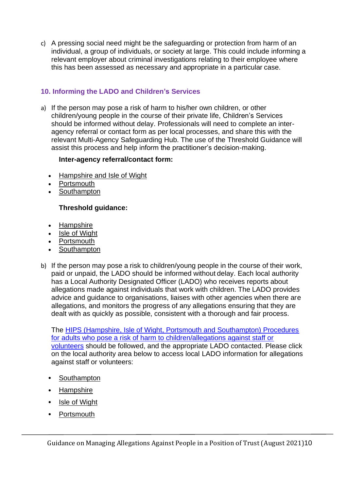c) A pressing social need might be the safeguarding or protection from harm of an individual, a group of individuals, or society at large. This could include informing a relevant employer about criminal investigations relating to their employee where this has been assessed as necessary and appropriate in a particular case.

# **10. Informing the LADO and Children's Services**

a) If the person may pose a risk of harm to his/her own children, or other children/young people in the course of their private life, Children's Services should be informed without delay. Professionals will need to complete an interagency referral or contact form as per local processes, and share this with the relevant Multi-Agency Safeguarding Hub. The use of the Threshold Guidance will assist this process and help inform the practitioner's decision-making.

## **Inter-agency referral/contact form:**

- [Hampshire and Isle of Wight](https://forms.hants.gov.uk/en/AchieveForms/?form_uri=sandbox-publish://AF-Process-7e6115a7-b0ba-484d-991f-084c1248ac72/AF-Stage-52cf8e73-0daf-47d4-bb55-0fdad856d3e6/definition.json)
- **[Portsmouth](https://my.portsmouth.gov.uk/en/AchieveForms/?form_uri=sandbox-publish://AF-Process-0584c40b-48ac-47b3-9c4c-97e2824012ec/AF-Stage-af28e8bc-100e-4cdf-a3ca-e8b04bd6ab66/definition.json&redirectlink=%2F&cancelRedirectLink=%2F)**
- **[Southampton](https://southampton.firmstep.com/default.aspx/RenderForm/?F.Name=k445NX72fcA&HideToolbar=1)**

# **Threshold guidance:**

- [Hampshire](https://www.hampshirescp.org.uk/wp-content/uploads/2019/08/Hampshire-IOW-Thresholds-Chart-July-2019-1.pdf)
- [Isle of Wight](https://www.hampshirescp.org.uk/wp-content/uploads/2019/08/Hampshire-IOW-Thresholds-Chart-July-2019-1.pdf)
- [Portsmouth](https://hipsprocedures.org.uk/assets/clients/7/PSCP%20Threshold%20Document%20v5%20March%202021.pdf)
- [Southampton](http://southamptonlscb.co.uk/wp-content/uploads/2017/02/Multi-Agency-Guidance2016-17.pdf)
- b) If the person may pose a risk to children/young people in the course of their work, paid or unpaid, the LADO should be informed without delay. Each local authority has a Local Authority Designated Officer (LADO) who receives reports about allegations made against individuals that work with children. The LADO provides advice and guidance to organisations, liaises with other agencies when there are allegations, and monitors the progress of any allegations ensuring that they are dealt with as quickly as possible, consistent with a thorough and fair process.

The [HIPS \(Hampshire, Isle of Wight, Portsmouth and Southampton\) Procedures](https://hipsprocedures.org.uk/lkyyst/adults-who-pose-a-risk-of-harm-to-children/allegations-against-staff-or-volunteers)  [for adults who pose a risk of harm to children/allegations against staff or](https://hipsprocedures.org.uk/lkyyst/adults-who-pose-a-risk-of-harm-to-children/allegations-against-staff-or-volunteers)  [volunteers](https://hipsprocedures.org.uk/lkyyst/adults-who-pose-a-risk-of-harm-to-children/allegations-against-staff-or-volunteers) should be followed, and the appropriate LADO contacted. Please click on the local authority area below to access local LADO information for allegations against staff or volunteers:

- [Southampton](https://sid.southampton.gov.uk/kb5/southampton/directory/family.page?familychannel=9-15)
- [Hampshire](https://www.hants.gov.uk/socialcareandhealth/childrenandfamilies/safeguardingchildren/allegations)
- [Isle of Wight](https://urldefense.proofpoint.com/v2/url?u=https-3A__www.iow.gov.uk_Council_OtherServices_Child-2DProtection_Local-2DArea-2DDesignated-2DOfficer-2DLADO-2DUnder&d=DwMFAg&c=pbUzoxRZCRvayVvkYvkiMO6u1jPMdBrTZxWyx_2PsKs&r=c5qCvC66CXiS_p22HhOFVUPI39MLTdPhM2VlVzWGu6OnFkb2lT0xhmkU_0d6gEXN&m=-a23G6q071P7P-FpQ94izqk2DUbyTRwffMlr2BnaZLM&s=QnCPYKnKvuTcht2MqMjNDSYqPyI1WN1VNZ29Bwc-Crw&e=)
- [Portsmouth](https://www.portsmouthscp.org.uk/professionals/allegations-and-whistle-blowing/)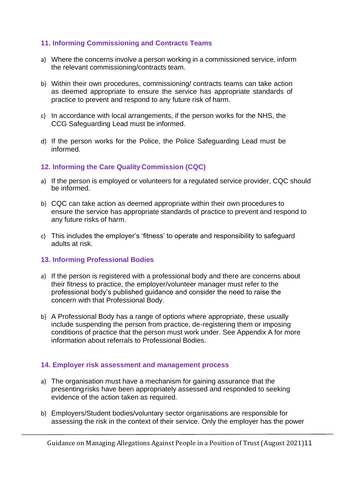## **11. Informing Commissioning and Contracts Teams**

- a) Where the concerns involve a person working in a commissioned service, inform the relevant commissioning/contracts team.
- b) Within their own procedures, commissioning/ contracts teams can take action as deemed appropriate to ensure the service has appropriate standards of practice to prevent and respond to any future risk of harm.
- c) In accordance with local arrangements, if the person works for the NHS, the CCG Safeguarding Lead must be informed.
- d) If the person works for the Police, the Police Safeguarding Lead must be informed.

#### **12. Informing the Care Quality Commission (CQC)**

- a) If the person is employed or volunteers for a regulated service provider, CQC should be informed.
- b) CQC can take action as deemed appropriate within their own procedures to ensure the service has appropriate standards of practice to prevent and respond to any future risks of harm.
- c) This includes the employer's 'fitness' to operate and responsibility to safeguard adults at risk.

#### **13. Informing Professional Bodies**

- a) If the person is registered with a professional body and there are concerns about their fitness to practice, the employer/volunteer manager must refer to the professional body's published guidance and consider the need to raise the concern with that Professional Body.
- b) A Professional Body has a range of options where appropriate, these usually include suspending the person from practice, de-registering them or imposing conditions of practice that the person must work under. See Appendix A for more information about referrals to Professional Bodies.

#### **14. Employer risk assessment and management process**

- a) The organisation must have a mechanism for gaining assurance that the presenting risks have been appropriately assessed and responded to seeking evidence of the action taken as required.
- b) Employers/Student bodies/voluntary sector organisations are responsible for assessing the risk in the context of their service. Only the employer has the power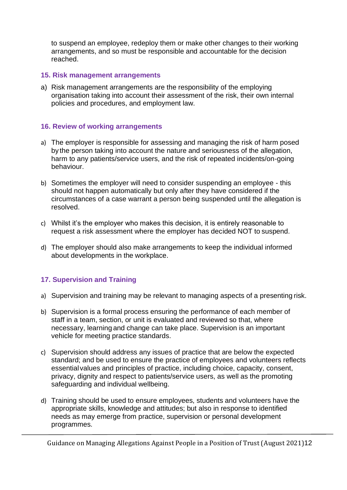to suspend an employee, redeploy them or make other changes to their working arrangements, and so must be responsible and accountable for the decision reached.

#### **15. Risk management arrangements**

a) Risk management arrangements are the responsibility of the employing organisation taking into account their assessment of the risk, their own internal policies and procedures, and employment law.

#### **16. Review of working arrangements**

- a) The employer is responsible for assessing and managing the risk of harm posed by the person taking into account the nature and seriousness of the allegation, harm to any patients/service users, and the risk of repeated incidents/on-going behaviour.
- b) Sometimes the employer will need to consider suspending an employee this should not happen automatically but only after they have considered if the circumstances of a case warrant a person being suspended until the allegation is resolved.
- c) Whilst it's the employer who makes this decision, it is entirely reasonable to request a risk assessment where the employer has decided NOT to suspend.
- d) The employer should also make arrangements to keep the individual informed about developments in the workplace.

## **17. Supervision and Training**

- a) Supervision and training may be relevant to managing aspects of a presenting risk.
- b) Supervision is a formal process ensuring the performance of each member of staff in a team, section, or unit is evaluated and reviewed so that, where necessary, learning and change can take place. Supervision is an important vehicle for meeting practice standards.
- c) Supervision should address any issues of practice that are below the expected standard; and be used to ensure the practice of employees and volunteers reflects essentialvalues and principles of practice, including choice, capacity, consent, privacy, dignity and respect to patients/service users, as well as the promoting safeguarding and individual wellbeing.
- d) Training should be used to ensure employees, students and volunteers have the appropriate skills, knowledge and attitudes; but also in response to identified needs as may emerge from practice, supervision or personal development programmes.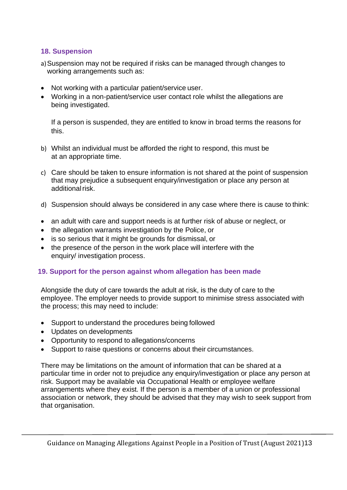## **18. Suspension**

- a)Suspension may not be required if risks can be managed through changes to working arrangements such as:
- Not working with a particular patient/service user.
- Working in a non-patient/service user contact role whilst the allegations are being investigated.

If a person is suspended, they are entitled to know in broad terms the reasons for this.

- b) Whilst an individual must be afforded the right to respond, this must be at an appropriate time.
- c) Care should be taken to ensure information is not shared at the point of suspension that may prejudice a subsequent enquiry/investigation or place any person at additionalrisk.
- d) Suspension should always be considered in any case where there is cause to think:
- an adult with care and support needs is at further risk of abuse or neglect, or
- the allegation warrants investigation by the Police, or
- is so serious that it might be grounds for dismissal, or
- the presence of the person in the work place will interfere with the enquiry/ investigation process.

#### **19. Support for the person against whom allegation has been made**

Alongside the duty of care towards the adult at risk, is the duty of care to the employee. The employer needs to provide support to minimise stress associated with the process; this may need to include:

- Support to understand the procedures being followed
- Updates on developments
- Opportunity to respond to allegations/concerns
- Support to raise questions or concerns about their circumstances.

There may be limitations on the amount of information that can be shared at a particular time in order not to prejudice any enquiry/investigation or place any person at risk. Support may be available via Occupational Health or employee welfare arrangements where they exist. If the person is a member of a union or professional association or network, they should be advised that they may wish to seek support from that organisation.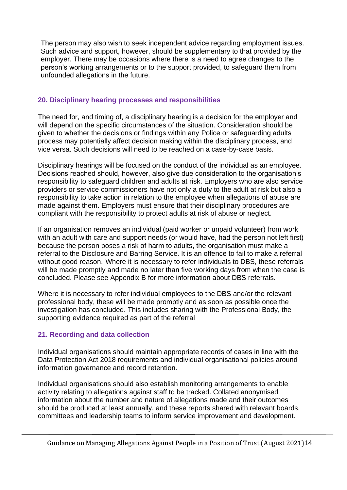The person may also wish to seek independent advice regarding employment issues. Such advice and support, however, should be supplementary to that provided by the employer. There may be occasions where there is a need to agree changes to the person's working arrangements or to the support provided, to safeguard them from unfounded allegations in the future.

## **20. Disciplinary hearing processes and responsibilities**

The need for, and timing of, a disciplinary hearing is a decision for the employer and will depend on the specific circumstances of the situation. Consideration should be given to whether the decisions or findings within any Police or safeguarding adults process may potentially affect decision making within the disciplinary process, and vice versa. Such decisions will need to be reached on a case-by-case basis.

Disciplinary hearings will be focused on the conduct of the individual as an employee. Decisions reached should, however, also give due consideration to the organisation's responsibility to safeguard children and adults at risk. Employers who are also service providers or service commissioners have not only a duty to the adult at risk but also a responsibility to take action in relation to the employee when allegations of abuse are made against them. Employers must ensure that their disciplinary procedures are compliant with the responsibility to protect adults at risk of abuse or neglect.

If an organisation removes an individual (paid worker or unpaid volunteer) from work with an adult with care and support needs (or would have, had the person not left first) because the person poses a risk of harm to adults, the organisation must make a referral to the Disclosure and Barring Service. It is an offence to fail to make a referral without good reason. Where it is necessary to refer individuals to DBS, these referrals will be made promptly and made no later than five working days from when the case is concluded. Please see Appendix B for more information about DBS referrals.

Where it is necessary to refer individual employees to the DBS and/or the relevant professional body, these will be made promptly and as soon as possible once the investigation has concluded. This includes sharing with the Professional Body, the supporting evidence required as part of the referral

# **21. Recording and data collection**

Individual organisations should maintain appropriate records of cases in line with the Data Protection Act 2018 requirements and individual organisational policies around information governance and record retention.

Individual organisations should also establish monitoring arrangements to enable activity relating to allegations against staff to be tracked. Collated anonymised information about the number and nature of allegations made and their outcomes should be produced at least annually, and these reports shared with relevant boards, committees and leadership teams to inform service improvement and development.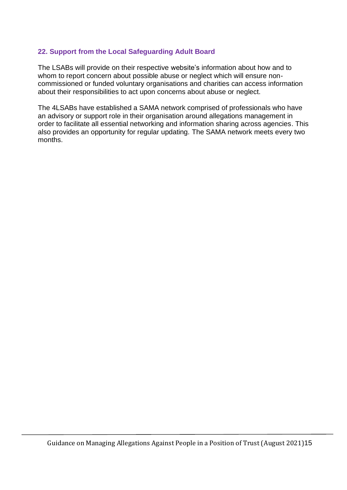## **22. Support from the Local Safeguarding Adult Board**

The LSABs will provide on their respective website's information about how and to whom to report concern about possible abuse or neglect which will ensure noncommissioned or funded voluntary organisations and charities can access information about their responsibilities to act upon concerns about abuse or neglect.

The 4LSABs have established a SAMA network comprised of professionals who have an advisory or support role in their organisation around allegations management in order to facilitate all essential networking and information sharing across agencies. This also provides an opportunity for regular updating. The SAMA network meets every two months.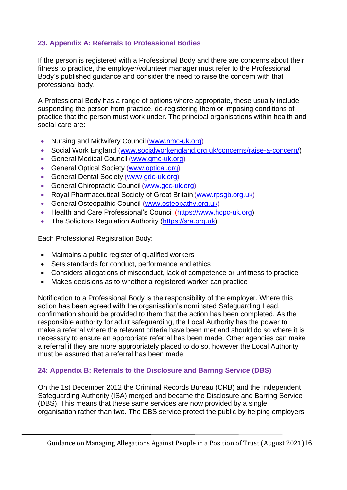# **23. Appendix A: Referrals to Professional Bodies**

If the person is registered with a Professional Body and there are concerns about their fitness to practice, the employer/volunteer manager must refer to the Professional Body's published guidance and consider the need to raise the concern with that professional body.

A Professional Body has a range of options where appropriate, these usually include suspending the person from practice, de-registering them or imposing conditions of practice that the person must work under. The principal organisations within health and social care are:

- Nursing and Midwifery Council [\(www.nmc-uk.org\)](http://www.nmc-uk.org/)
- Social Work England [\(www.socialworkengland.org.uk/concerns/raise-a-concern/\)](http://www.socialworkengland.org.uk/concerns/raise-a-concern/)
- General Medical Council [\(www.gmc-uk.org\)](http://www.gmc-uk.org/)
- General Optical Society [\(www.optical.org\)](http://www.optical.org/)
- General Dental Society [\(www.gdc-uk.org\)](http://www.gdc-uk.org/)
- General Chiropractic Council [\(www.gcc-uk.org\)](http://www.gcc-uk.org/)
- Royal Pharmaceutical Society of Great Britain [\(www.rpsgb.org.uk\)](http://www.rpsgb.org.uk/)
- General Osteopathic Council [\(www.osteopathy.org.uk\)](http://www.osteopathy.org.uk/)
- Health and Care Professional's Council [\(https://www.hcpc-uk.org\)](https://www.hcpc-uk.org/)
- The Solicitors Regulation Authority [\(https://sra.org.uk\)](https://sra.org.uk/)

Each Professional Registration Body:

- Maintains a public register of qualified workers
- Sets standards for conduct, performance and ethics
- Considers allegations of misconduct, lack of competence or unfitness to practice
- Makes decisions as to whether a registered worker can practice

Notification to a Professional Body is the responsibility of the employer. Where this action has been agreed with the organisation's nominated Safeguarding Lead, confirmation should be provided to them that the action has been completed. As the responsible authority for adult safeguarding, the Local Authority has the power to make a referral where the relevant criteria have been met and should do so where it is necessary to ensure an appropriate referral has been made. Other agencies can make a referral if they are more appropriately placed to do so, however the Local Authority must be assured that a referral has been made.

## **24: Appendix B: Referrals to the Disclosure and Barring Service (DBS)**

On the 1st December 2012 the Criminal Records Bureau (CRB) and the Independent Safeguarding Authority (ISA) merged and became the Disclosure and Barring Service (DBS). This means that these same services are now provided by a single organisation rather than two. The DBS service protect the public by helping employers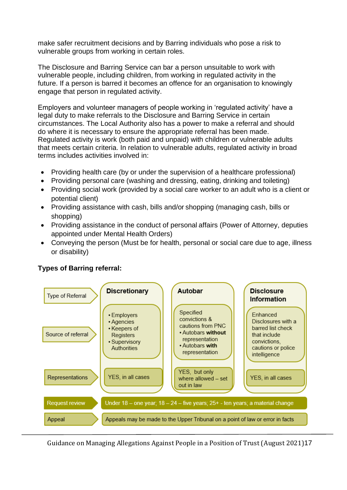make safer recruitment decisions and by Barring individuals who pose a risk to vulnerable groups from working in certain roles.

The Disclosure and Barring Service can bar a person unsuitable to work with vulnerable people, including children, from working in regulated activity in the future. If a person is barred it becomes an offence for an organisation to knowingly engage that person in regulated activity.

Employers and volunteer managers of people working in 'regulated activity' have a legal duty to make referrals to the Disclosure and Barring Service in certain circumstances. The Local Authority also has a power to make a referral and should do where it is necessary to ensure the appropriate referral has been made. Regulated activity is work (both paid and unpaid) with children or vulnerable adults that meets certain criteria. In relation to vulnerable adults, regulated activity in broad terms includes activities involved in:

- Providing health care (by or under the supervision of a healthcare professional)
- Providing personal care (washing and dressing, eating, drinking and toileting)
- Providing social work (provided by a social care worker to an adult who is a client or potential client)
- Providing assistance with cash, bills and/or shopping (managing cash, bills or shopping)
- Providing assistance in the conduct of personal affairs (Power of Attorney, deputies appointed under Mental Health Orders)
- Conveying the person (Must be for health, personal or social care due to age, illness or disability)



# **Types of Barring referral:**

Guidance on Managing Allegations Against People in a Position of Trust (August 2021)17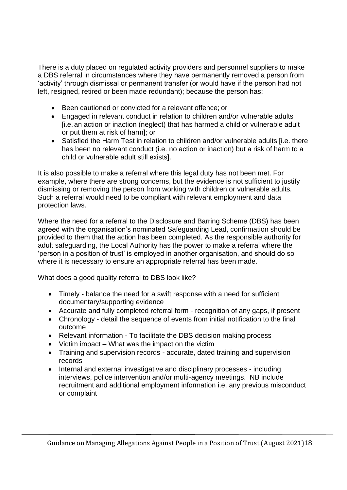There is a duty placed on regulated activity providers and personnel suppliers to make a DBS referral in circumstances where they have permanently removed a person from 'activity' through dismissal or permanent transfer (or would have if the person had not left, resigned, retired or been made redundant); because the person has:

- Been cautioned or convicted for a relevant offence; or
- Engaged in relevant conduct in relation to children and/or vulnerable adults [i.e. an action or inaction (neglect) that has harmed a child or vulnerable adult or put them at risk of harm]; or
- Satisfied the Harm Test in relation to children and/or vulnerable adults [i.e. there has been no relevant conduct (i.e. no action or inaction) but a risk of harm to a child or vulnerable adult still exists].

It is also possible to make a referral where this legal duty has not been met. For example, where there are strong concerns, but the evidence is not sufficient to justify dismissing or removing the person from working with children or vulnerable adults. Such a referral would need to be compliant with relevant employment and data protection laws.

Where the need for a referral to the Disclosure and Barring Scheme (DBS) has been agreed with the organisation's nominated Safeguarding Lead, confirmation should be provided to them that the action has been completed. As the responsible authority for adult safeguarding, the Local Authority has the power to make a referral where the 'person in a position of trust' is employed in another organisation, and should do so where it is necessary to ensure an appropriate referral has been made.

What does a good quality referral to DBS look like?

- Timely balance the need for a swift response with a need for sufficient documentary/supporting evidence
- Accurate and fully completed referral form recognition of any gaps, if present
- Chronology detail the sequence of events from initial notification to the final outcome
- Relevant information To facilitate the DBS decision making process
- Victim impact What was the impact on the victim
- Training and supervision records accurate, dated training and supervision records
- Internal and external investigative and disciplinary processes including interviews, police intervention and/or multi-agency meetings. NB include recruitment and additional employment information i.e. any previous misconduct or complaint